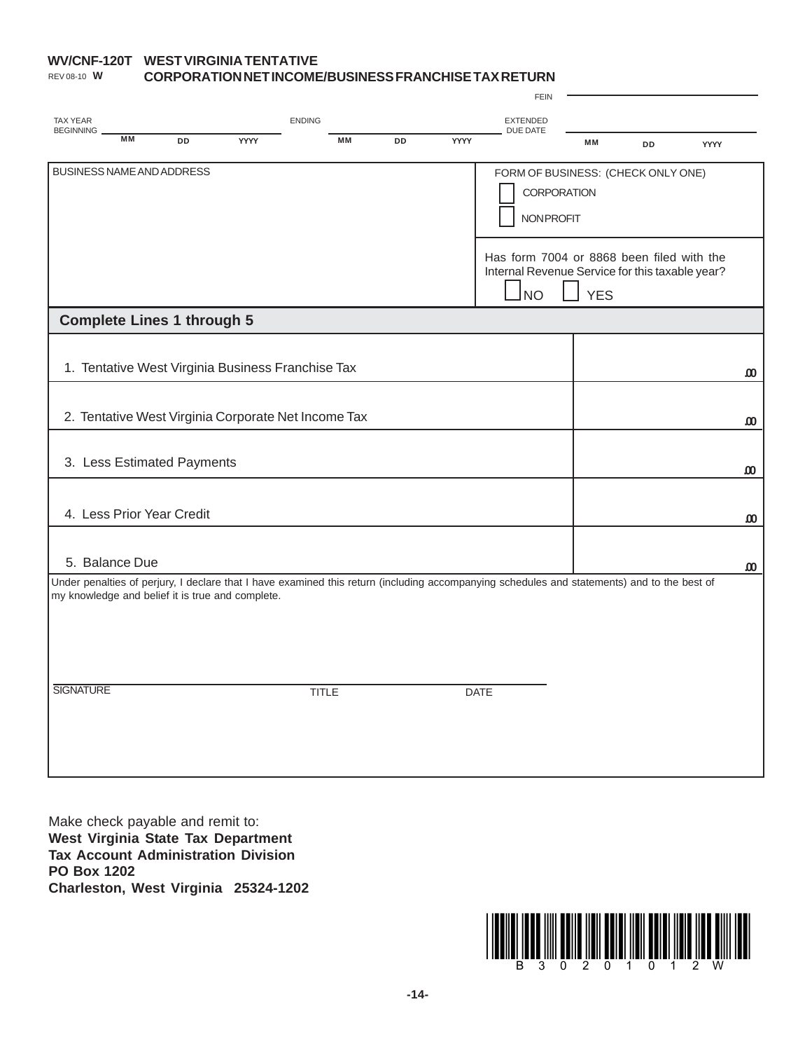## **WV/CNF-120T WEST VIRGINIA TENTATIVE CORPORATION NET INCOME/BUSINESS FRANCHISE TAX RETURN** REV 08-10 **W**

|                                                                                                                                                                                                 |      | <b>FEIN</b>                                                                                               |            |    |                       |
|-------------------------------------------------------------------------------------------------------------------------------------------------------------------------------------------------|------|-----------------------------------------------------------------------------------------------------------|------------|----|-----------------------|
| <b>ENDING</b><br><b>TAX YEAR</b>                                                                                                                                                                |      | <b>EXTENDED</b>                                                                                           |            |    |                       |
| <b>BEGINNING</b><br><b>MM</b><br>MM<br><b>DD</b><br>YYYY<br>DD                                                                                                                                  | YYYY | DUE DATE                                                                                                  | MM         | DD | YYYY                  |
| BUSINESS NAME AND ADDRESS<br>FORM OF BUSINESS: (CHECK ONLY ONE)<br><b>CORPORATION</b><br><b>NONPROFIT</b>                                                                                       |      |                                                                                                           |            |    |                       |
|                                                                                                                                                                                                 |      | Has form 7004 or 8868 been filed with the<br>Internal Revenue Service for this taxable year?<br><b>NO</b> | <b>YES</b> |    |                       |
| <b>Complete Lines 1 through 5</b>                                                                                                                                                               |      |                                                                                                           |            |    |                       |
| 1. Tentative West Virginia Business Franchise Tax                                                                                                                                               |      |                                                                                                           |            |    | $\boldsymbol{\omega}$ |
| 2. Tentative West Virginia Corporate Net Income Tax                                                                                                                                             |      |                                                                                                           |            |    | ΩO                    |
| 3. Less Estimated Payments                                                                                                                                                                      |      |                                                                                                           |            |    | ω                     |
| 4. Less Prior Year Credit                                                                                                                                                                       |      |                                                                                                           |            |    | .00                   |
| 5. Balance Due                                                                                                                                                                                  |      |                                                                                                           |            |    | $\boldsymbol{\omega}$ |
| Under penalties of perjury, I declare that I have examined this return (including accompanying schedules and statements) and to the best of<br>my knowledge and belief it is true and complete. |      |                                                                                                           |            |    |                       |
|                                                                                                                                                                                                 |      |                                                                                                           |            |    |                       |
| <b>SIGNATURE</b><br><b>TITLE</b>                                                                                                                                                                |      | <b>DATE</b>                                                                                               |            |    |                       |
|                                                                                                                                                                                                 |      |                                                                                                           |            |    |                       |
|                                                                                                                                                                                                 |      |                                                                                                           |            |    |                       |

Make check payable and remit to: **West Virginia State Tax Department Tax Account Administration Division PO Box 1202 Charleston, West Virginia 25324-1202**